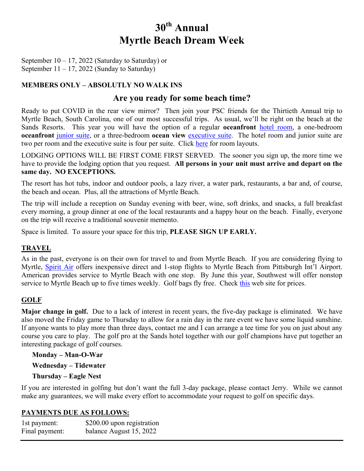# **30th Annual Myrtle Beach Dream Week**

September  $10 - 17$ , 2022 (Saturday to Saturday) or September  $11 - 17$ , 2022 (Sunday to Saturday)

# **MEMBERS ONLY – ABSOLUTLY NO WALK INS**

# **Are you ready for some beach time?**

Ready to put COVID in the rear view mirror? Then join your PSC friends for the Thirtieth Annual trip to Myrtle Beach, South Carolina, one of our most successful trips. As usual, we'll be right on the beach at the Sands Resorts. This year you will have the option of a regular **oceanfront** [hotel room,](http://www.pittsburghskiclub.org/documents/trips/pdf/2012_09/Sand_Dunes_Resort_Room_Layouts.pdf#nameddest=hotel) a one-bedroom **oceanfront** [junior suite,](http://www.pittsburghskiclub.org/documents/trips/pdf/2012_09/Sand_Dunes_Resort_Room_Layouts.pdf#nameddest=junior) or a three-bedroom **ocean view** [executive suite](http://www.pittsburghskiclub.org/documents/trips/pdf/2012_09/Sand_Dunes_Resort_Room_Layouts.pdf#nameddest=executive). The hotel room and junior suite are two per room and the executive suite is four per suite. Click [here](http://www.pittsburghskiclub.org/documents/trips/pdf/2012_09/Sand_Dunes_Resort_Room_Layouts.pdf) for room layouts.

LODGING OPTIONS WILL BE FIRST COME FIRST SERVED. The sooner you sign up, the more time we have to provide the lodging option that you request. **All persons in your unit must arrive and depart on the same day. NO EXCEPTIONS.**

The resort has hot tubs, indoor and outdoor pools, a lazy river, a water park, restaurants, a bar and, of course, the beach and ocean. Plus, all the attractions of Myrtle Beach.

The trip will include a reception on Sunday evening with beer, wine, soft drinks, and snacks, a full breakfast every morning, a group dinner at one of the local restaurants and a happy hour on the beach. Finally, everyone on the trip will receive a traditional souvenir memento.

Space is limited. To assure your space for this trip, **PLEASE SIGN UP EARLY.**

## **TRAVEL**

As in the past, everyone is on their own for travel to and from Myrtle Beach. If you are considering flying to Myrtle, [Spirit Air](https://www.spirit.com/) offers inexpensive direct and 1-stop flights to Myrtle Beach from Pittsburgh Int'l Airport. American provides service to Myrtle Beach with one stop. By June this year, Southwest will offer nonstop service to Myrtle Beach up to five times weekly. Golf bags fly free. Check [this](https://www.google.com/travel/flights/search?tfs=CBwQAhojagwIAhIIL20vMDY4cDISCjIwMjItMDktMTByBwgBEgNNWVIaI2oHCAESA01ZUhIKMjAyMi0wOS0xN3IMCAISCC9tLzA2OHAycAGCAQsI____________AUABSAGYAQE) web site for prices.

## **GOLF**

**Major change in golf.** Due to a lack of interest in recent years, the five-day package is eliminated. We have also moved the Friday game to Thursday to allow for a rain day in the rare event we have some liquid sunshine. If anyone wants to play more than three days, contact me and I can arrange a tee time for you on just about any course you care to play. The golf pro at the Sands hotel together with our golf champions have put together an interesting package of golf courses.

#### **Monday – Man-O-War**

**Wednesday – Tidewater** 

## **Thursday – Eagle Nest**

If you are interested in golfing but don't want the full 3-day package, please contact Jerry. While we cannot make any guarantees, we will make every effort to accommodate your request to golf on specific days.

## **PAYMENTS DUE AS FOLLOWS:**

| 1st payment:   | \$200.00 upon registration |
|----------------|----------------------------|
| Final payment: | balance August 15, 2022    |